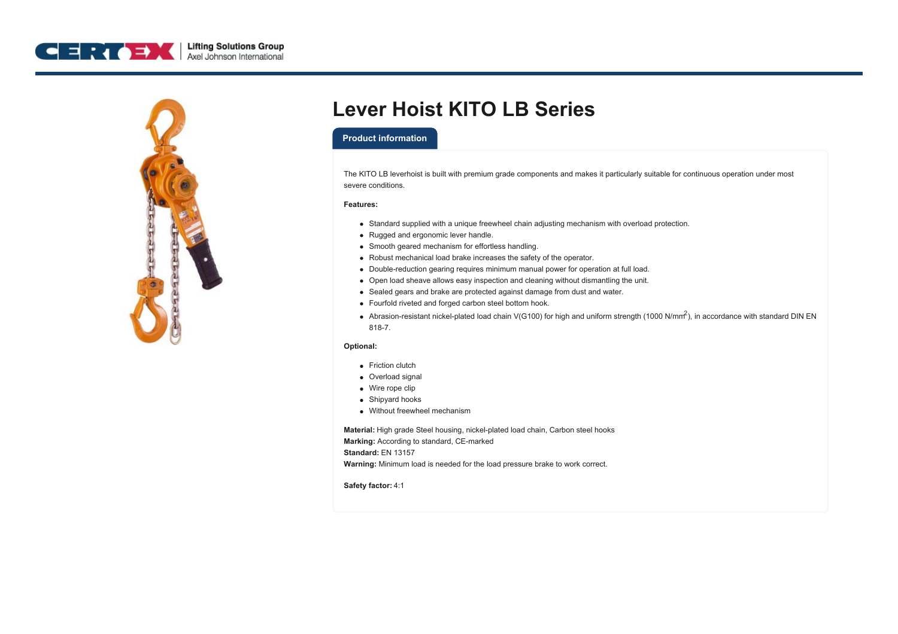



# **Lever Hoist KITO LB Series**

### **Product information**

The KITO LB leverhoist is built with premium grade components and makes it particularly suitable for continuous operation under most severe conditions.

#### **Features:**

- Standard supplied with a unique freewheel chain adjusting mechanism with overload protection.
- Rugged and ergonomic lever handle.
- Smooth geared mechanism for effortless handling.
- Robust mechanical load brake increases the safety of the operator.
- Double-reduction gearing requires minimum manual power for operation at full load.
- Open load sheave allows easy inspection and cleaning without dismantling the unit.
- Sealed gears and brake are protected against damage from dust and water.
- Fourfold riveted and forged carbon steel bottom hook.
- Abrasion-resistant nickel-plated load chain V(G100) for high and uniform strength (1000 N/mm $^2$ ), in accordance with standard DIN EN 818-7.

#### **Optional:**

- Friction clutch
- Overload signal
- Wire rope clip
- Shipyard hooks
- Without freewheel mechanism

**Material:** High grade Steel housing, nickel-plated load chain, Carbon steel hooks **Marking:** According to standard, CE-marked **Standard:** EN 13157

**Warning:** Minimum load is needed for the load pressure brake to work correct.

**Safety factor:** 4:1